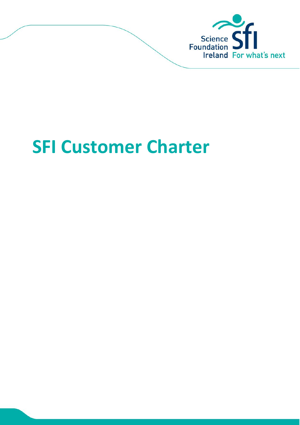

# **SFI Customer Charter**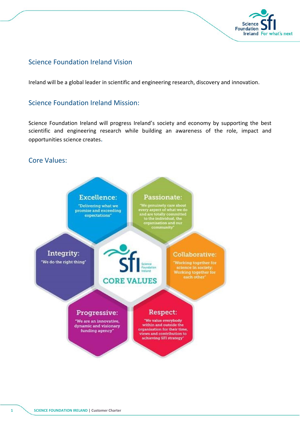

#### Science Foundation Ireland Vision

Ireland will be a global leader in scientific and engineering research, discovery and innovation.

#### Science Foundation Ireland Mission:

Science Foundation Ireland will progress Ireland's society and economy by supporting the best scientific and engineering research while building an awareness of the role, impact and opportunities science creates.

#### Core Values:

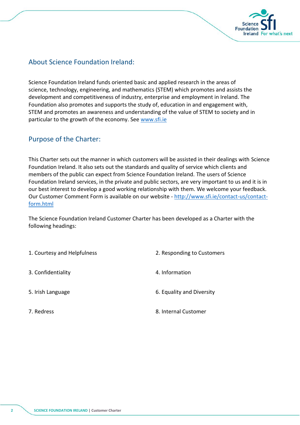

## About Science Foundation Ireland:

Science Foundation Ireland funds oriented basic and applied research in the areas of science, technology, engineering, and mathematics (STEM) which promotes and assists the development and competitiveness of industry, enterprise and employment in Ireland. The Foundation also promotes and supports the study of, education in and engagement with, STEM and promotes an awareness and understanding of the value of STEM to society and in particular to the growth of the economy. See [www.sfi.ie](http://www.sfi.ie/)

## Purpose of the Charter:

This Charter sets out the manner in which customers will be assisted in their dealings with Science Foundation Ireland. It also sets out the standards and quality of service which clients and members of the public can expect from Science Foundation Ireland. The users of Science Foundation Ireland services, in the private and public sectors, are very important to us and it is in our best interest to develop a good working relationship with them. We welcome your feedback. Our Customer Comment Form is available on our website - [http://www.sfi.ie/contact-us/contact](http://www.sfi.ie/contact-us/contact-form.html)[form.html](http://www.sfi.ie/contact-us/contact-form.html)

The Science Foundation Ireland Customer Charter has been developed as a Charter with the following headings:

| 1. Courtesy and Helpfulness | 2. Responding to Customers |
|-----------------------------|----------------------------|
| 3. Confidentiality          | 4. Information             |
| 5. Irish Language           | 6. Equality and Diversity  |
| 7. Redress                  | 8. Internal Customer       |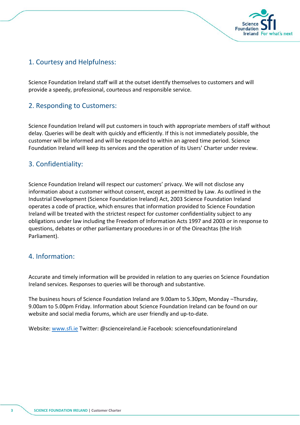

## 1. Courtesy and Helpfulness:

Science Foundation Ireland staff will at the outset identify themselves to customers and will provide a speedy, professional, courteous and responsible service.

#### 2. Responding to Customers:

Science Foundation Ireland will put customers in touch with appropriate members of staff without delay. Queries will be dealt with quickly and efficiently. If this is not immediately possible, the customer will be informed and will be responded to within an agreed time period. Science Foundation Ireland will keep its services and the operation of its Users' Charter under review.

#### 3. Confidentiality:

Science Foundation Ireland will respect our customers' privacy. We will not disclose any information about a customer without consent, except as permitted by Law. As outlined in the Industrial Development (Science Foundation Ireland) Act, 2003 Science Foundation Ireland operates a code of practice, which ensures that information provided to Science Foundation Ireland will be treated with the strictest respect for customer confidentiality subject to any obligations under law including the Freedom of Information Acts 1997 and 2003 or in response to questions, debates or other parliamentary procedures in or of the Oireachtas (the Irish Parliament).

# 4. Information:

Accurate and timely information will be provided in relation to any queries on Science Foundation Ireland services. Responses to queries will be thorough and substantive.

The business hours of Science Foundation Ireland are 9.00am to 5.30pm, Monday –Thursday, 9.00am to 5.00pm Friday. Information about Science Foundation Ireland can be found on our website and social media forums, which are user friendly and up-to-date.

Website: [www.sfi.ie](http://www.sfi.ie/) Twitter: @scienceireland.ie Facebook: sciencefoundationireland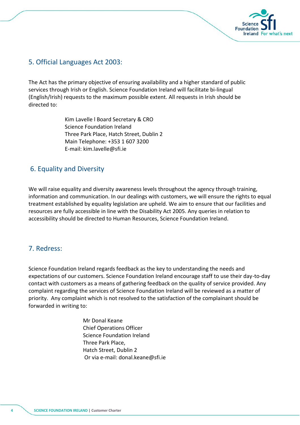

## 5. Official Languages Act 2003:

The Act has the primary objective of ensuring availability and a higher standard of public services through Irish or English. Science Foundation Ireland will facilitate bi-lingual (English/Irish) requests to the maximum possible extent. All requests in Irish should be directed to:

> Kim Lavelle l Board Secretary & CRO Science Foundation Ireland Three Park Place, Hatch Street, Dublin 2 Main Telephone: +353 1 607 3200 E-mail: kim.lavelle@sfi.ie

#### 6. Equality and Diversity

We will raise equality and diversity awareness levels throughout the agency through training, information and communication. In our dealings with customers, we will ensure the rights to equal treatment established by equality legislation are upheld. We aim to ensure that our facilities and resources are fully accessible in line with the Disability Act 2005. Any queries in relation to accessibility should be directed to Human Resources, Science Foundation Ireland.

#### 7. Redress:

Science Foundation Ireland regards feedback as the key to understanding the needs and expectations of our customers. Science Foundation Ireland encourage staff to use their day-to-day contact with customers as a means of gathering feedback on the quality of service provided. Any complaint regarding the services of Science Foundation Ireland will be reviewed as a matter of priority. Any complaint which is not resolved to the satisfaction of the complainant should be forwarded in writing to:

> Mr Donal Keane Chief Operations Officer Science Foundation Ireland Three Park Place, Hatch Street, Dublin 2 Or via e-mail: [donal.keane@sfi.ie](mailto:donal.keane@sfi.ie)